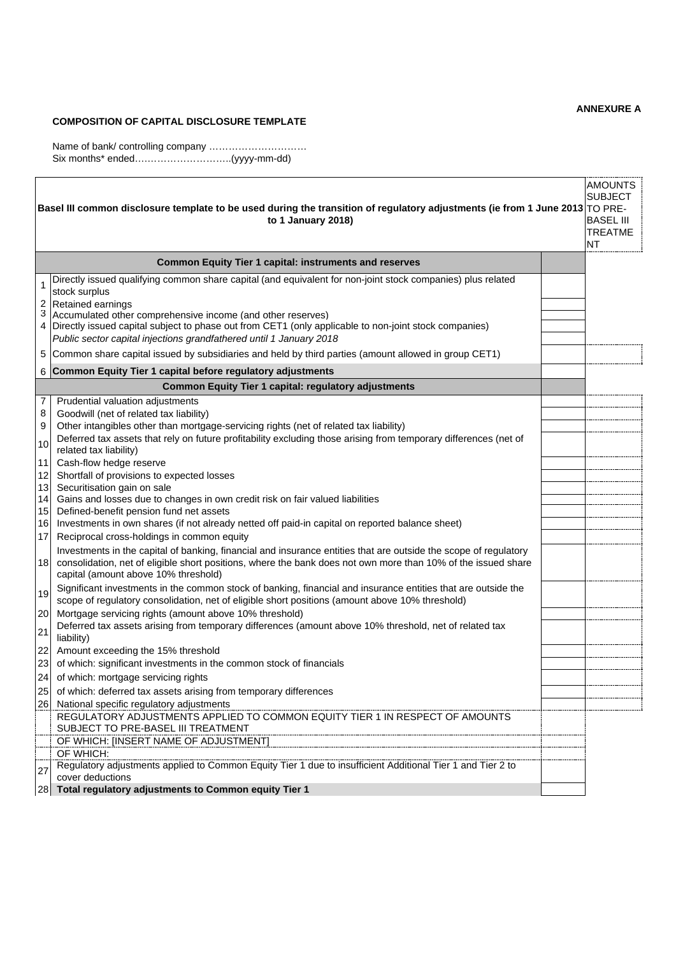## **COMPOSITION OF CAPITAL DISCLOSURE TEMPLATE**

Name of bank/ controlling company ………………………… Six months\* ended….……………………..(yyyy-mm-dd)

 $\mathbf{r}$ 

| <b>AMOUNTS</b><br><b>SUBJECT</b><br>Basel III common disclosure template to be used during the transition of regulatory adjustments (ie from 1 June 2013 TO PRE-<br><b>BASEL III</b><br>to 1 January 2018)<br><b>TREATME</b><br><b>NT</b> |                                                                                                                                                                                                                                                                                                                                                                                                                                                                                                                                                                                                                                                                                                                                                                                                                                                                                                                                                                                      |  |
|-------------------------------------------------------------------------------------------------------------------------------------------------------------------------------------------------------------------------------------------|--------------------------------------------------------------------------------------------------------------------------------------------------------------------------------------------------------------------------------------------------------------------------------------------------------------------------------------------------------------------------------------------------------------------------------------------------------------------------------------------------------------------------------------------------------------------------------------------------------------------------------------------------------------------------------------------------------------------------------------------------------------------------------------------------------------------------------------------------------------------------------------------------------------------------------------------------------------------------------------|--|
|                                                                                                                                                                                                                                           | <b>Common Equity Tier 1 capital: instruments and reserves</b>                                                                                                                                                                                                                                                                                                                                                                                                                                                                                                                                                                                                                                                                                                                                                                                                                                                                                                                        |  |
| 2<br>3<br>5                                                                                                                                                                                                                               | Directly issued qualifying common share capital (and equivalent for non-joint stock companies) plus related<br>stock surplus<br>Retained earnings<br>Accumulated other comprehensive income (and other reserves)<br>4 Directly issued capital subject to phase out from CET1 (only applicable to non-joint stock companies)<br>Public sector capital injections grandfathered until 1 January 2018<br>Common share capital issued by subsidiaries and held by third parties (amount allowed in group CET1)                                                                                                                                                                                                                                                                                                                                                                                                                                                                           |  |
| 6                                                                                                                                                                                                                                         | Common Equity Tier 1 capital before regulatory adjustments                                                                                                                                                                                                                                                                                                                                                                                                                                                                                                                                                                                                                                                                                                                                                                                                                                                                                                                           |  |
|                                                                                                                                                                                                                                           | <b>Common Equity Tier 1 capital: regulatory adjustments</b>                                                                                                                                                                                                                                                                                                                                                                                                                                                                                                                                                                                                                                                                                                                                                                                                                                                                                                                          |  |
| 7<br>8<br>9<br>10<br>11<br>12<br>13<br>14<br>15<br>16<br>17<br>18                                                                                                                                                                         | Prudential valuation adjustments<br>Goodwill (net of related tax liability)<br>Other intangibles other than mortgage-servicing rights (net of related tax liability)<br>Deferred tax assets that rely on future profitability excluding those arising from temporary differences (net of<br>related tax liability)<br>Cash-flow hedge reserve<br>Shortfall of provisions to expected losses<br>Securitisation gain on sale<br>Gains and losses due to changes in own credit risk on fair valued liabilities<br>Defined-benefit pension fund net assets<br>Investments in own shares (if not already netted off paid-in capital on reported balance sheet)<br>Reciprocal cross-holdings in common equity<br>Investments in the capital of banking, financial and insurance entities that are outside the scope of regulatory<br>consolidation, net of eligible short positions, where the bank does not own more than 10% of the issued share<br>capital (amount above 10% threshold) |  |
| 19<br>20                                                                                                                                                                                                                                  | Significant investments in the common stock of banking, financial and insurance entities that are outside the<br>scope of regulatory consolidation, net of eligible short positions (amount above 10% threshold)<br>Mortgage servicing rights (amount above 10% threshold)                                                                                                                                                                                                                                                                                                                                                                                                                                                                                                                                                                                                                                                                                                           |  |
| 21<br>22<br>23                                                                                                                                                                                                                            | Deferred tax assets arising from temporary differences (amount above 10% threshold, net of related tax<br>liability)<br>Amount exceeding the 15% threshold<br>of which: significant investments in the common stock of financials                                                                                                                                                                                                                                                                                                                                                                                                                                                                                                                                                                                                                                                                                                                                                    |  |
| 24<br>25<br>26                                                                                                                                                                                                                            | of which: mortgage servicing rights<br>of which: deferred tax assets arising from temporary differences<br>National specific regulatory adjustments                                                                                                                                                                                                                                                                                                                                                                                                                                                                                                                                                                                                                                                                                                                                                                                                                                  |  |
| 27                                                                                                                                                                                                                                        | REGULATORY ADJUSTMENTS APPLIED TO COMMON EQUITY TIER 1 IN RESPECT OF AMOUNTS<br>SUBJECT TO PRE-BASEL III TREATMENT<br>OF WHICH: [INSERT NAME OF ADJUSTMENT]<br>OF WHICH:<br>Regulatory adjustments applied to Common Equity Tier 1 due to insufficient Additional Tier 1 and Tier 2 to<br>cover deductions                                                                                                                                                                                                                                                                                                                                                                                                                                                                                                                                                                                                                                                                           |  |
| 28                                                                                                                                                                                                                                        | Total regulatory adjustments to Common equity Tier 1                                                                                                                                                                                                                                                                                                                                                                                                                                                                                                                                                                                                                                                                                                                                                                                                                                                                                                                                 |  |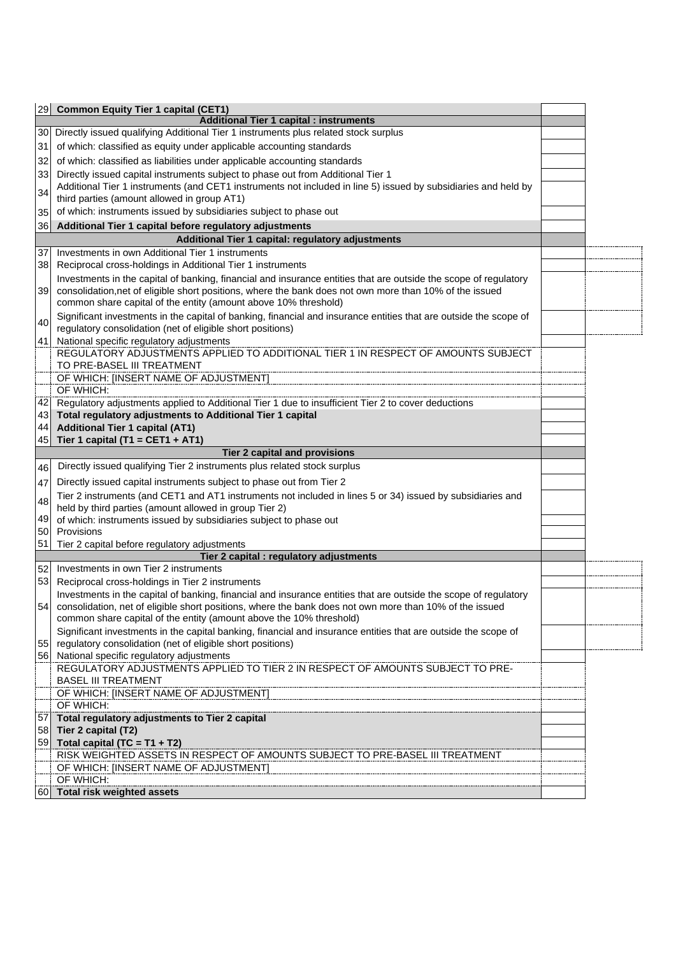| <b>Additional Tier 1 capital : instruments</b><br>30 Directly issued qualifying Additional Tier 1 instruments plus related stock surplus                                                                                    |  |
|-----------------------------------------------------------------------------------------------------------------------------------------------------------------------------------------------------------------------------|--|
|                                                                                                                                                                                                                             |  |
|                                                                                                                                                                                                                             |  |
| of which: classified as equity under applicable accounting standards                                                                                                                                                        |  |
| of which: classified as liabilities under applicable accounting standards                                                                                                                                                   |  |
| Directly issued capital instruments subject to phase out from Additional Tier 1                                                                                                                                             |  |
| Additional Tier 1 instruments (and CET1 instruments not included in line 5) issued by subsidiaries and held by                                                                                                              |  |
| third parties (amount allowed in group AT1)                                                                                                                                                                                 |  |
| of which: instruments issued by subsidiaries subject to phase out                                                                                                                                                           |  |
| Additional Tier 1 capital before regulatory adjustments                                                                                                                                                                     |  |
| Additional Tier 1 capital: regulatory adjustments                                                                                                                                                                           |  |
| Investments in own Additional Tier 1 instruments                                                                                                                                                                            |  |
| Reciprocal cross-holdings in Additional Tier 1 instruments                                                                                                                                                                  |  |
| Investments in the capital of banking, financial and insurance entities that are outside the scope of regulatory                                                                                                            |  |
| consolidation, net of eligible short positions, where the bank does not own more than 10% of the issued                                                                                                                     |  |
| common share capital of the entity (amount above 10% threshold)                                                                                                                                                             |  |
| Significant investments in the capital of banking, financial and insurance entities that are outside the scope of                                                                                                           |  |
| regulatory consolidation (net of eligible short positions)                                                                                                                                                                  |  |
| National specific regulatory adjustments                                                                                                                                                                                    |  |
| REGULATORY ADJUSTMENTS APPLIED TO ADDITIONAL TIER 1 IN RESPECT OF AMOUNTS SUBJECT                                                                                                                                           |  |
| TO PRE-BASEL III TREATMENT                                                                                                                                                                                                  |  |
| OF WHICH: [INSERT NAME OF ADJUSTMENT]                                                                                                                                                                                       |  |
| OF WHICH:                                                                                                                                                                                                                   |  |
| Regulatory adjustments applied to Additional Tier 1 due to insufficient Tier 2 to cover deductions                                                                                                                          |  |
| Total regulatory adjustments to Additional Tier 1 capital                                                                                                                                                                   |  |
| <b>Additional Tier 1 capital (AT1)</b>                                                                                                                                                                                      |  |
| Tier 1 capital (T1 = CET1 + AT1)                                                                                                                                                                                            |  |
| <b>Tier 2 capital and provisions</b>                                                                                                                                                                                        |  |
| Directly issued qualifying Tier 2 instruments plus related stock surplus                                                                                                                                                    |  |
| Directly issued capital instruments subject to phase out from Tier 2                                                                                                                                                        |  |
| Tier 2 instruments (and CET1 and AT1 instruments not included in lines 5 or 34) issued by subsidiaries and                                                                                                                  |  |
| held by third parties (amount allowed in group Tier 2)                                                                                                                                                                      |  |
| of which: instruments issued by subsidiaries subject to phase out                                                                                                                                                           |  |
| Provisions                                                                                                                                                                                                                  |  |
|                                                                                                                                                                                                                             |  |
|                                                                                                                                                                                                                             |  |
| Tier 2 capital before regulatory adjustments                                                                                                                                                                                |  |
| Tier 2 capital : regulatory adjustments<br>Investments in own Tier 2 instruments                                                                                                                                            |  |
|                                                                                                                                                                                                                             |  |
| Reciprocal cross-holdings in Tier 2 instruments                                                                                                                                                                             |  |
| Investments in the capital of banking, financial and insurance entities that are outside the scope of regulatory<br>consolidation, net of eligible short positions, where the bank does not own more than 10% of the issued |  |
| common share capital of the entity (amount above the 10% threshold)                                                                                                                                                         |  |
| Significant investments in the capital banking, financial and insurance entities that are outside the scope of                                                                                                              |  |
| regulatory consolidation (net of eligible short positions)                                                                                                                                                                  |  |
| National specific regulatory adjustments                                                                                                                                                                                    |  |
| REGULATORY ADJUSTMENTS APPLIED TO TIER 2 IN RESPECT OF AMOUNTS SUBJECT TO PRE-                                                                                                                                              |  |
| <b>BASEL III TREATMENT</b>                                                                                                                                                                                                  |  |
| OF WHICH: [INSERT NAME OF ADJUSTMENT]                                                                                                                                                                                       |  |
| OF WHICH:                                                                                                                                                                                                                   |  |
| Total regulatory adjustments to Tier 2 capital                                                                                                                                                                              |  |
| Tier 2 capital (T2)                                                                                                                                                                                                         |  |
| 59 Total capital (TC = $T1 + T2$ )                                                                                                                                                                                          |  |
| RISK WEIGHTED ASSETS IN RESPECT OF AMOUNTS SUBJECT TO PRE-BASEL III TREATMENT                                                                                                                                               |  |
| OF WHICH: [INSERT NAME OF ADJUSTMENT]                                                                                                                                                                                       |  |
| OF WHICH:<br>Total risk weighted assets                                                                                                                                                                                     |  |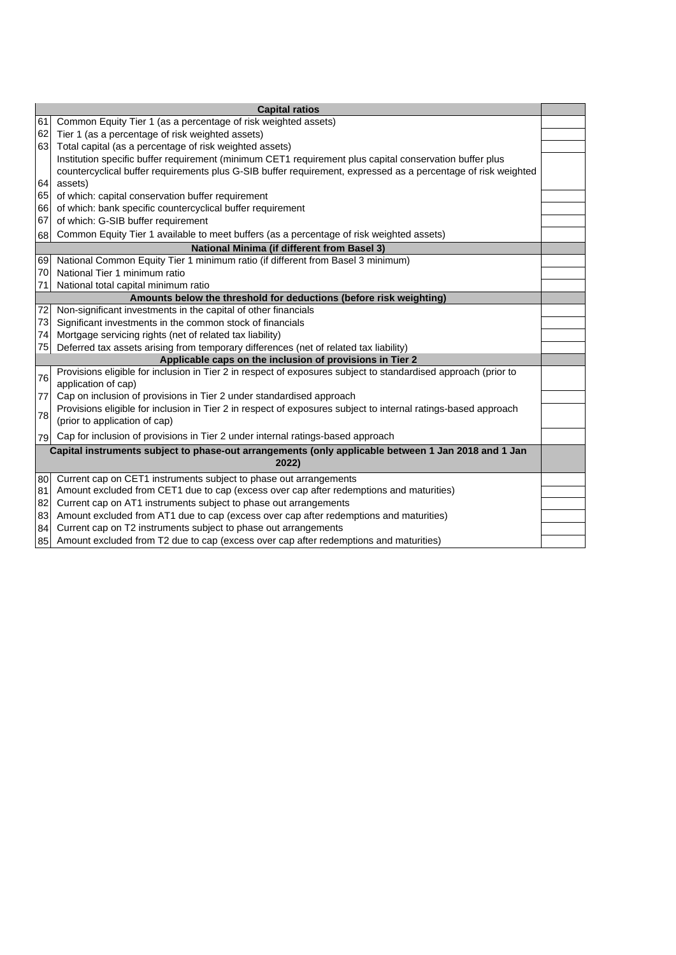| <b>Capital ratios</b>                                    |                                                                                                                                       |  |  |
|----------------------------------------------------------|---------------------------------------------------------------------------------------------------------------------------------------|--|--|
| 61                                                       | Common Equity Tier 1 (as a percentage of risk weighted assets)                                                                        |  |  |
| 62                                                       | Tier 1 (as a percentage of risk weighted assets)                                                                                      |  |  |
| 63                                                       | Total capital (as a percentage of risk weighted assets)                                                                               |  |  |
|                                                          | Institution specific buffer requirement (minimum CET1 requirement plus capital conservation buffer plus                               |  |  |
|                                                          | countercyclical buffer requirements plus G-SIB buffer requirement, expressed as a percentage of risk weighted                         |  |  |
| 64                                                       | assets)                                                                                                                               |  |  |
| 65                                                       | of which: capital conservation buffer requirement                                                                                     |  |  |
| 661                                                      | of which: bank specific countercyclical buffer requirement                                                                            |  |  |
| 67                                                       | of which: G-SIB buffer requirement                                                                                                    |  |  |
| 68                                                       | Common Equity Tier 1 available to meet buffers (as a percentage of risk weighted assets)                                              |  |  |
|                                                          | <b>National Minima (if different from Basel 3)</b>                                                                                    |  |  |
| 69                                                       | National Common Equity Tier 1 minimum ratio (if different from Basel 3 minimum)                                                       |  |  |
| 70                                                       | National Tier 1 minimum ratio                                                                                                         |  |  |
| 71                                                       | National total capital minimum ratio                                                                                                  |  |  |
|                                                          | Amounts below the threshold for deductions (before risk weighting)                                                                    |  |  |
| 72                                                       | Non-significant investments in the capital of other financials                                                                        |  |  |
| 73                                                       | Significant investments in the common stock of financials                                                                             |  |  |
|                                                          | 74 Mortgage servicing rights (net of related tax liability)                                                                           |  |  |
|                                                          | 75 Deferred tax assets arising from temporary differences (net of related tax liability)                                              |  |  |
| Applicable caps on the inclusion of provisions in Tier 2 |                                                                                                                                       |  |  |
| 76                                                       | Provisions eligible for inclusion in Tier 2 in respect of exposures subject to standardised approach (prior to<br>application of cap) |  |  |
| 77                                                       | Cap on inclusion of provisions in Tier 2 under standardised approach                                                                  |  |  |
|                                                          | Provisions eligible for inclusion in Tier 2 in respect of exposures subject to internal ratings-based approach                        |  |  |
| 78                                                       | (prior to application of cap)                                                                                                         |  |  |
| 79                                                       | Cap for inclusion of provisions in Tier 2 under internal ratings-based approach                                                       |  |  |
|                                                          | Capital instruments subject to phase-out arrangements (only applicable between 1 Jan 2018 and 1 Jan                                   |  |  |
| 2022)                                                    |                                                                                                                                       |  |  |
| 80                                                       | Current cap on CET1 instruments subject to phase out arrangements                                                                     |  |  |
| 81                                                       | Amount excluded from CET1 due to cap (excess over cap after redemptions and maturities)                                               |  |  |
| 82                                                       | Current cap on AT1 instruments subject to phase out arrangements                                                                      |  |  |
| 83                                                       | Amount excluded from AT1 due to cap (excess over cap after redemptions and maturities)                                                |  |  |
| 84                                                       | Current cap on T2 instruments subject to phase out arrangements                                                                       |  |  |
| 85                                                       | Amount excluded from T2 due to cap (excess over cap after redemptions and maturities)                                                 |  |  |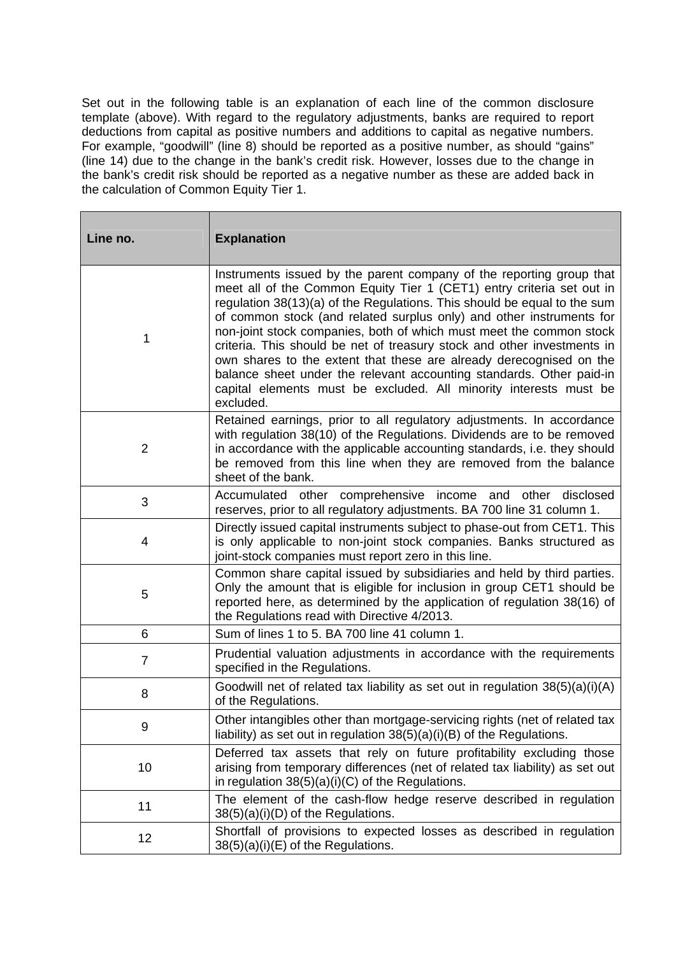Set out in the following table is an explanation of each line of the common disclosure template (above). With regard to the regulatory adjustments, banks are required to report deductions from capital as positive numbers and additions to capital as negative numbers. For example, "goodwill" (line 8) should be reported as a positive number, as should "gains" (line 14) due to the change in the bank's credit risk. However, losses due to the change in the bank's credit risk should be reported as a negative number as these are added back in the calculation of Common Equity Tier 1.

٦

| Line no.       | <b>Explanation</b>                                                                                                                                                                                                                                                                                                                                                                                                                                                                                                                                                                                                                                                                   |
|----------------|--------------------------------------------------------------------------------------------------------------------------------------------------------------------------------------------------------------------------------------------------------------------------------------------------------------------------------------------------------------------------------------------------------------------------------------------------------------------------------------------------------------------------------------------------------------------------------------------------------------------------------------------------------------------------------------|
| 1              | Instruments issued by the parent company of the reporting group that<br>meet all of the Common Equity Tier 1 (CET1) entry criteria set out in<br>regulation 38(13)(a) of the Regulations. This should be equal to the sum<br>of common stock (and related surplus only) and other instruments for<br>non-joint stock companies, both of which must meet the common stock<br>criteria. This should be net of treasury stock and other investments in<br>own shares to the extent that these are already derecognised on the<br>balance sheet under the relevant accounting standards. Other paid-in<br>capital elements must be excluded. All minority interests must be<br>excluded. |
| $\overline{2}$ | Retained earnings, prior to all regulatory adjustments. In accordance<br>with regulation 38(10) of the Regulations. Dividends are to be removed<br>in accordance with the applicable accounting standards, i.e. they should<br>be removed from this line when they are removed from the balance<br>sheet of the bank.                                                                                                                                                                                                                                                                                                                                                                |
| 3              | Accumulated other comprehensive income and other<br>disclosed<br>reserves, prior to all regulatory adjustments. BA 700 line 31 column 1.                                                                                                                                                                                                                                                                                                                                                                                                                                                                                                                                             |
| 4              | Directly issued capital instruments subject to phase-out from CET1. This<br>is only applicable to non-joint stock companies. Banks structured as<br>joint-stock companies must report zero in this line.                                                                                                                                                                                                                                                                                                                                                                                                                                                                             |
| 5              | Common share capital issued by subsidiaries and held by third parties.<br>Only the amount that is eligible for inclusion in group CET1 should be<br>reported here, as determined by the application of regulation 38(16) of<br>the Regulations read with Directive 4/2013.                                                                                                                                                                                                                                                                                                                                                                                                           |
| 6              | Sum of lines 1 to 5. BA 700 line 41 column 1.                                                                                                                                                                                                                                                                                                                                                                                                                                                                                                                                                                                                                                        |
| $\overline{7}$ | Prudential valuation adjustments in accordance with the requirements<br>specified in the Regulations.                                                                                                                                                                                                                                                                                                                                                                                                                                                                                                                                                                                |
| 8              | Goodwill net of related tax liability as set out in regulation $38(5)(a)(i)(A)$<br>of the Regulations.                                                                                                                                                                                                                                                                                                                                                                                                                                                                                                                                                                               |
| 9              | Other intangibles other than mortgage-servicing rights (net of related tax<br>liability) as set out in regulation $38(5)(a)(i)(B)$ of the Regulations.                                                                                                                                                                                                                                                                                                                                                                                                                                                                                                                               |
| 10             | Deferred tax assets that rely on future profitability excluding those<br>arising from temporary differences (net of related tax liability) as set out<br>in regulation $38(5)(a)(i)(C)$ of the Regulations.                                                                                                                                                                                                                                                                                                                                                                                                                                                                          |
| 11             | The element of the cash-flow hedge reserve described in regulation<br>38(5)(a)(i)(D) of the Regulations.                                                                                                                                                                                                                                                                                                                                                                                                                                                                                                                                                                             |
| 12             | Shortfall of provisions to expected losses as described in regulation<br>38(5)(a)(i)(E) of the Regulations.                                                                                                                                                                                                                                                                                                                                                                                                                                                                                                                                                                          |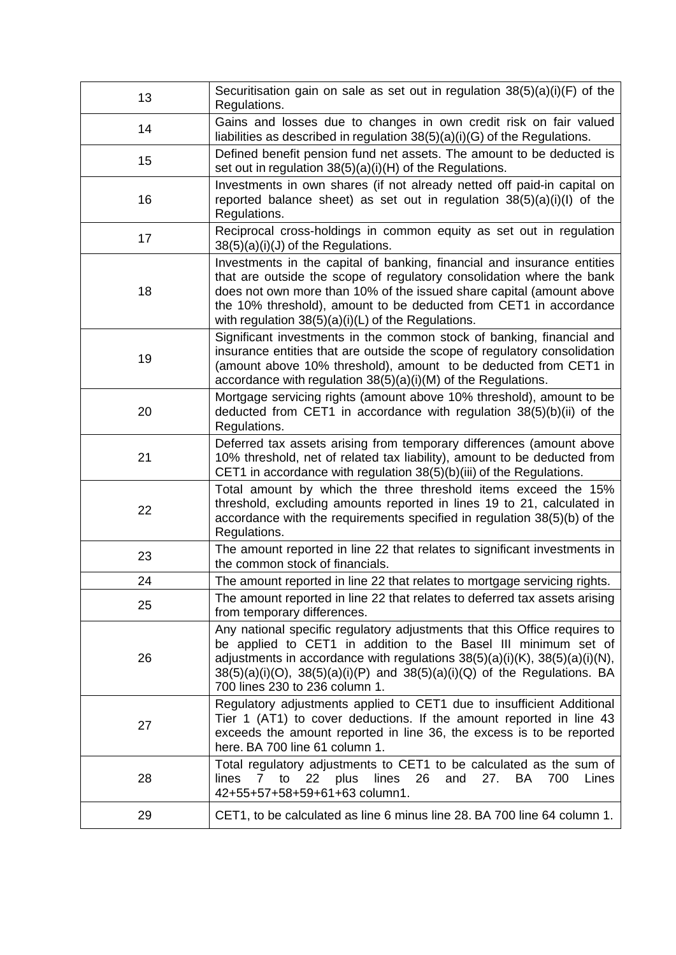| 13 | Securitisation gain on sale as set out in regulation $38(5)(a)(i)(F)$ of the<br>Regulations.                                                                                                                                                                                                                                                          |
|----|-------------------------------------------------------------------------------------------------------------------------------------------------------------------------------------------------------------------------------------------------------------------------------------------------------------------------------------------------------|
| 14 | Gains and losses due to changes in own credit risk on fair valued<br>liabilities as described in regulation $38(5)(a)(i)(G)$ of the Regulations.                                                                                                                                                                                                      |
| 15 | Defined benefit pension fund net assets. The amount to be deducted is<br>set out in regulation 38(5)(a)(i)(H) of the Regulations.                                                                                                                                                                                                                     |
| 16 | Investments in own shares (if not already netted off paid-in capital on<br>reported balance sheet) as set out in regulation $38(5)(a)(i)(l)$ of the<br>Regulations.                                                                                                                                                                                   |
| 17 | Reciprocal cross-holdings in common equity as set out in regulation<br>$38(5)(a)(i)(J)$ of the Regulations.                                                                                                                                                                                                                                           |
| 18 | Investments in the capital of banking, financial and insurance entities<br>that are outside the scope of regulatory consolidation where the bank<br>does not own more than 10% of the issued share capital (amount above<br>the 10% threshold), amount to be deducted from CET1 in accordance<br>with regulation $38(5)(a)(i)(L)$ of the Regulations. |
| 19 | Significant investments in the common stock of banking, financial and<br>insurance entities that are outside the scope of regulatory consolidation<br>(amount above 10% threshold), amount to be deducted from CET1 in<br>accordance with regulation 38(5)(a)(i)(M) of the Regulations.                                                               |
| 20 | Mortgage servicing rights (amount above 10% threshold), amount to be<br>deducted from CET1 in accordance with regulation $38(5)(b)(ii)$ of the<br>Regulations.                                                                                                                                                                                        |
| 21 | Deferred tax assets arising from temporary differences (amount above<br>10% threshold, net of related tax liability), amount to be deducted from<br>CET1 in accordance with regulation 38(5)(b)(iii) of the Regulations.                                                                                                                              |
| 22 | Total amount by which the three threshold items exceed the 15%<br>threshold, excluding amounts reported in lines 19 to 21, calculated in<br>accordance with the requirements specified in regulation 38(5)(b) of the<br>Regulations.                                                                                                                  |
| 23 | The amount reported in line 22 that relates to significant investments in<br>the common stock of financials.                                                                                                                                                                                                                                          |
| 24 | The amount reported in line 22 that relates to mortgage servicing rights.                                                                                                                                                                                                                                                                             |
| 25 | The amount reported in line 22 that relates to deferred tax assets arising<br>from temporary differences.                                                                                                                                                                                                                                             |
| 26 | Any national specific regulatory adjustments that this Office requires to<br>be applied to CET1 in addition to the Basel III minimum set of<br>adjustments in accordance with regulations $38(5)(a)(i)(K)$ , $38(5)(a)(i)(N)$ ,<br>$38(5)(a)(i)(O)$ , $38(5)(a)(i)(P)$ and $38(5)(a)(i)(Q)$ of the Regulations. BA<br>700 lines 230 to 236 column 1.  |
| 27 | Regulatory adjustments applied to CET1 due to insufficient Additional<br>Tier 1 (AT1) to cover deductions. If the amount reported in line 43<br>exceeds the amount reported in line 36, the excess is to be reported<br>here. BA 700 line 61 column 1.                                                                                                |
| 28 | Total regulatory adjustments to CET1 to be calculated as the sum of<br>26<br>to<br>22<br>plus<br>lines<br>and<br>27.<br>700<br>lines<br>$7^{\circ}$<br>BA.<br>Lines<br>42+55+57+58+59+61+63 column1.                                                                                                                                                  |
| 29 | CET1, to be calculated as line 6 minus line 28. BA 700 line 64 column 1.                                                                                                                                                                                                                                                                              |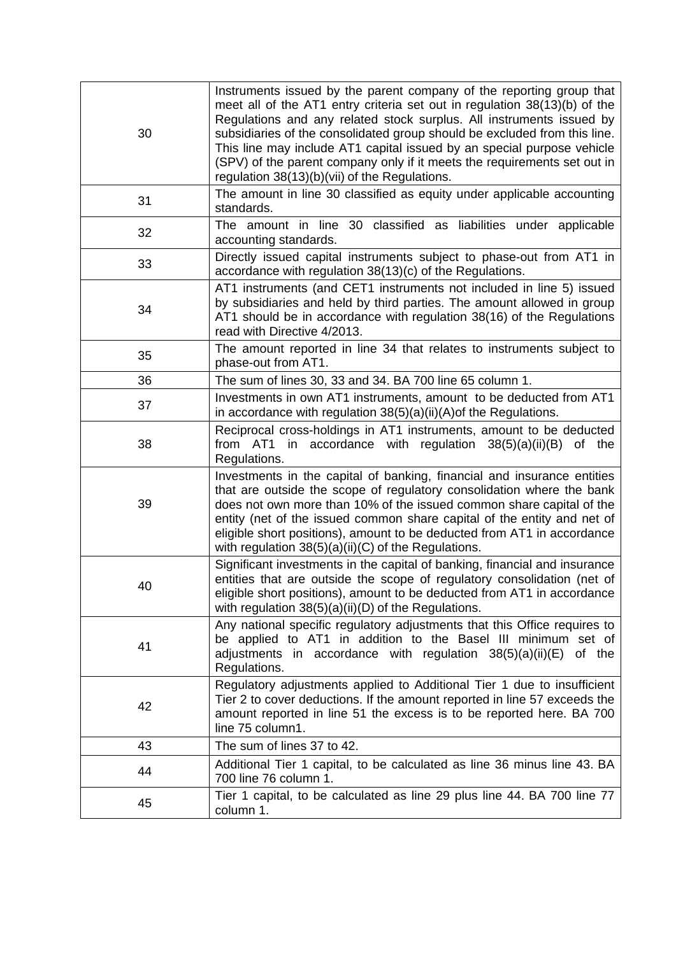| 30 | Instruments issued by the parent company of the reporting group that<br>meet all of the AT1 entry criteria set out in regulation 38(13)(b) of the<br>Regulations and any related stock surplus. All instruments issued by<br>subsidiaries of the consolidated group should be excluded from this line.<br>This line may include AT1 capital issued by an special purpose vehicle<br>(SPV) of the parent company only if it meets the requirements set out in<br>regulation 38(13)(b)(vii) of the Regulations. |
|----|---------------------------------------------------------------------------------------------------------------------------------------------------------------------------------------------------------------------------------------------------------------------------------------------------------------------------------------------------------------------------------------------------------------------------------------------------------------------------------------------------------------|
| 31 | The amount in line 30 classified as equity under applicable accounting<br>standards.                                                                                                                                                                                                                                                                                                                                                                                                                          |
| 32 | The amount in line 30 classified as liabilities under applicable<br>accounting standards.                                                                                                                                                                                                                                                                                                                                                                                                                     |
| 33 | Directly issued capital instruments subject to phase-out from AT1 in<br>accordance with regulation 38(13)(c) of the Regulations.                                                                                                                                                                                                                                                                                                                                                                              |
| 34 | AT1 instruments (and CET1 instruments not included in line 5) issued<br>by subsidiaries and held by third parties. The amount allowed in group<br>AT1 should be in accordance with regulation 38(16) of the Regulations<br>read with Directive 4/2013.                                                                                                                                                                                                                                                        |
| 35 | The amount reported in line 34 that relates to instruments subject to<br>phase-out from AT1.                                                                                                                                                                                                                                                                                                                                                                                                                  |
| 36 | The sum of lines 30, 33 and 34. BA 700 line 65 column 1.                                                                                                                                                                                                                                                                                                                                                                                                                                                      |
| 37 | Investments in own AT1 instruments, amount to be deducted from AT1<br>in accordance with regulation $38(5)(a)(ii)(A)$ of the Regulations.                                                                                                                                                                                                                                                                                                                                                                     |
| 38 | Reciprocal cross-holdings in AT1 instruments, amount to be deducted<br>from AT1 in accordance with regulation $38(5)(a)(ii)(B)$ of the<br>Regulations.                                                                                                                                                                                                                                                                                                                                                        |
| 39 | Investments in the capital of banking, financial and insurance entities<br>that are outside the scope of regulatory consolidation where the bank<br>does not own more than 10% of the issued common share capital of the<br>entity (net of the issued common share capital of the entity and net of<br>eligible short positions), amount to be deducted from AT1 in accordance<br>with regulation 38(5)(a)(ii)(C) of the Regulations.                                                                         |
| 40 | Significant investments in the capital of banking, financial and insurance<br>entities that are outside the scope of regulatory consolidation (net of<br>eligible short positions), amount to be deducted from AT1 in accordance<br>with regulation $38(5)(a)(ii)(D)$ of the Regulations.                                                                                                                                                                                                                     |
| 41 | Any national specific regulatory adjustments that this Office requires to<br>be applied to AT1 in addition to the Basel III minimum set of<br>adjustments in accordance with regulation $38(5)(a)(ii)(E)$<br>of the<br>Regulations.                                                                                                                                                                                                                                                                           |
| 42 | Regulatory adjustments applied to Additional Tier 1 due to insufficient<br>Tier 2 to cover deductions. If the amount reported in line 57 exceeds the<br>amount reported in line 51 the excess is to be reported here. BA 700<br>line 75 column1.                                                                                                                                                                                                                                                              |
| 43 | The sum of lines 37 to 42.                                                                                                                                                                                                                                                                                                                                                                                                                                                                                    |
| 44 | Additional Tier 1 capital, to be calculated as line 36 minus line 43. BA<br>700 line 76 column 1.                                                                                                                                                                                                                                                                                                                                                                                                             |
| 45 | Tier 1 capital, to be calculated as line 29 plus line 44. BA 700 line 77<br>column 1.                                                                                                                                                                                                                                                                                                                                                                                                                         |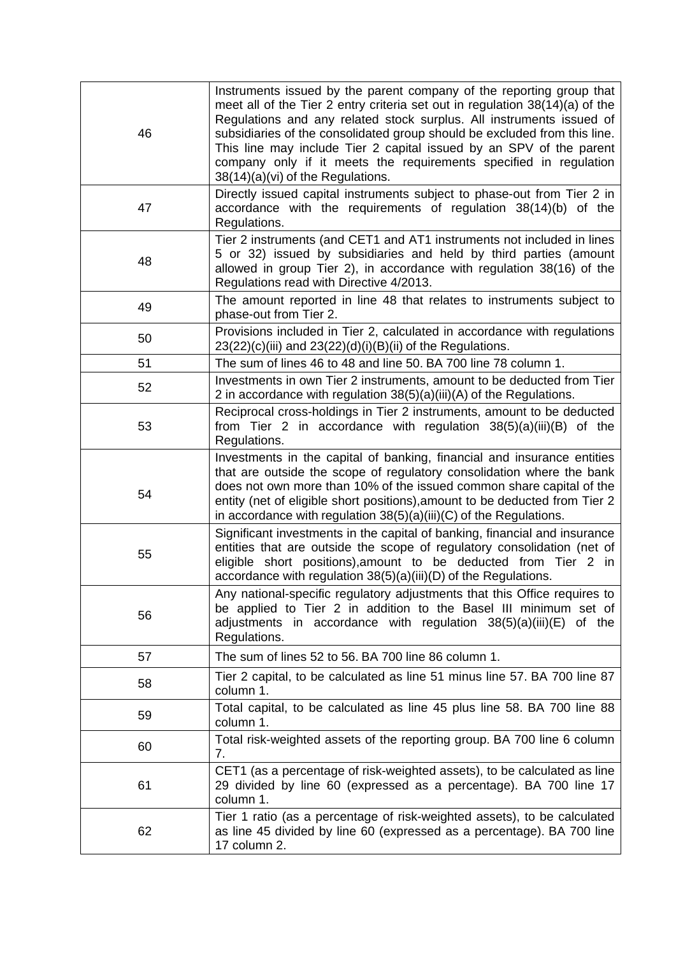| 46 | Instruments issued by the parent company of the reporting group that<br>meet all of the Tier 2 entry criteria set out in regulation 38(14)(a) of the<br>Regulations and any related stock surplus. All instruments issued of<br>subsidiaries of the consolidated group should be excluded from this line.<br>This line may include Tier 2 capital issued by an SPV of the parent<br>company only if it meets the requirements specified in regulation<br>38(14)(a)(vi) of the Regulations. |
|----|--------------------------------------------------------------------------------------------------------------------------------------------------------------------------------------------------------------------------------------------------------------------------------------------------------------------------------------------------------------------------------------------------------------------------------------------------------------------------------------------|
| 47 | Directly issued capital instruments subject to phase-out from Tier 2 in<br>accordance with the requirements of regulation 38(14)(b) of the<br>Regulations.                                                                                                                                                                                                                                                                                                                                 |
| 48 | Tier 2 instruments (and CET1 and AT1 instruments not included in lines<br>5 or 32) issued by subsidiaries and held by third parties (amount<br>allowed in group Tier 2), in accordance with regulation 38(16) of the<br>Regulations read with Directive 4/2013.                                                                                                                                                                                                                            |
| 49 | The amount reported in line 48 that relates to instruments subject to<br>phase-out from Tier 2.                                                                                                                                                                                                                                                                                                                                                                                            |
| 50 | Provisions included in Tier 2, calculated in accordance with regulations<br>$23(22)(c)(iii)$ and $23(22)(d)(i)(B)(ii)$ of the Regulations.                                                                                                                                                                                                                                                                                                                                                 |
| 51 | The sum of lines 46 to 48 and line 50. BA 700 line 78 column 1.                                                                                                                                                                                                                                                                                                                                                                                                                            |
| 52 | Investments in own Tier 2 instruments, amount to be deducted from Tier<br>2 in accordance with regulation 38(5)(a)(iii)(A) of the Regulations.                                                                                                                                                                                                                                                                                                                                             |
| 53 | Reciprocal cross-holdings in Tier 2 instruments, amount to be deducted<br>from Tier 2 in accordance with regulation $38(5)(a)(iii)(B)$ of the<br>Regulations.                                                                                                                                                                                                                                                                                                                              |
| 54 | Investments in the capital of banking, financial and insurance entities<br>that are outside the scope of regulatory consolidation where the bank<br>does not own more than 10% of the issued common share capital of the<br>entity (net of eligible short positions), amount to be deducted from Tier 2<br>in accordance with regulation $38(5)(a)(iii)(C)$ of the Regulations.                                                                                                            |
| 55 | Significant investments in the capital of banking, financial and insurance<br>entities that are outside the scope of regulatory consolidation (net of<br>eligible short positions), amount to be deducted from Tier 2 in<br>accordance with regulation 38(5)(a)(iii)(D) of the Regulations.                                                                                                                                                                                                |
| 56 | Any national-specific regulatory adjustments that this Office requires to<br>be applied to Tier 2 in addition to the Basel III minimum set of<br>adjustments in accordance with regulation $38(5)(a)(iii)(E)$ of the<br>Regulations.                                                                                                                                                                                                                                                       |
| 57 | The sum of lines 52 to 56. BA 700 line 86 column 1.                                                                                                                                                                                                                                                                                                                                                                                                                                        |
| 58 | Tier 2 capital, to be calculated as line 51 minus line 57. BA 700 line 87<br>column 1.                                                                                                                                                                                                                                                                                                                                                                                                     |
| 59 | Total capital, to be calculated as line 45 plus line 58. BA 700 line 88<br>column 1.                                                                                                                                                                                                                                                                                                                                                                                                       |
| 60 | Total risk-weighted assets of the reporting group. BA 700 line 6 column<br>7.                                                                                                                                                                                                                                                                                                                                                                                                              |
| 61 | CET1 (as a percentage of risk-weighted assets), to be calculated as line<br>29 divided by line 60 (expressed as a percentage). BA 700 line 17<br>column 1.                                                                                                                                                                                                                                                                                                                                 |
| 62 | Tier 1 ratio (as a percentage of risk-weighted assets), to be calculated<br>as line 45 divided by line 60 (expressed as a percentage). BA 700 line<br>17 column 2.                                                                                                                                                                                                                                                                                                                         |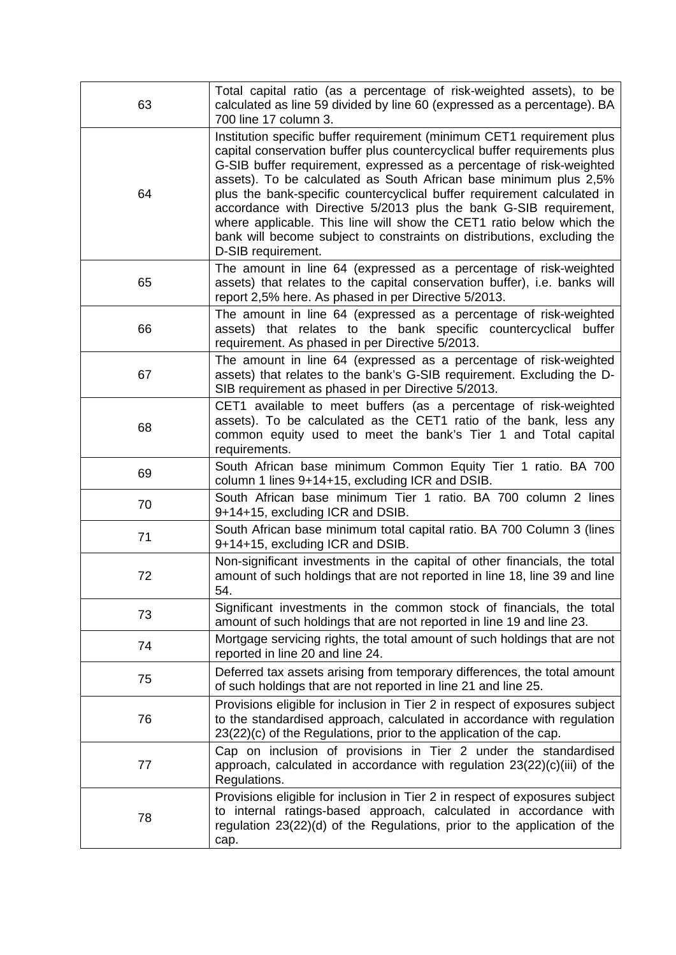| 63 | Total capital ratio (as a percentage of risk-weighted assets), to be<br>calculated as line 59 divided by line 60 (expressed as a percentage). BA<br>700 line 17 column 3.                                                                                                                                                                                                                                                                                                                                                                                                                                                 |
|----|---------------------------------------------------------------------------------------------------------------------------------------------------------------------------------------------------------------------------------------------------------------------------------------------------------------------------------------------------------------------------------------------------------------------------------------------------------------------------------------------------------------------------------------------------------------------------------------------------------------------------|
| 64 | Institution specific buffer requirement (minimum CET1 requirement plus<br>capital conservation buffer plus countercyclical buffer requirements plus<br>G-SIB buffer requirement, expressed as a percentage of risk-weighted<br>assets). To be calculated as South African base minimum plus 2,5%<br>plus the bank-specific countercyclical buffer requirement calculated in<br>accordance with Directive 5/2013 plus the bank G-SIB requirement,<br>where applicable. This line will show the CET1 ratio below which the<br>bank will become subject to constraints on distributions, excluding the<br>D-SIB requirement. |
| 65 | The amount in line 64 (expressed as a percentage of risk-weighted<br>assets) that relates to the capital conservation buffer), i.e. banks will<br>report 2,5% here. As phased in per Directive 5/2013.                                                                                                                                                                                                                                                                                                                                                                                                                    |
| 66 | The amount in line 64 (expressed as a percentage of risk-weighted<br>assets) that relates to the bank specific countercyclical buffer<br>requirement. As phased in per Directive 5/2013.                                                                                                                                                                                                                                                                                                                                                                                                                                  |
| 67 | The amount in line 64 (expressed as a percentage of risk-weighted<br>assets) that relates to the bank's G-SIB requirement. Excluding the D-<br>SIB requirement as phased in per Directive 5/2013.                                                                                                                                                                                                                                                                                                                                                                                                                         |
| 68 | CET1 available to meet buffers (as a percentage of risk-weighted<br>assets). To be calculated as the CET1 ratio of the bank, less any<br>common equity used to meet the bank's Tier 1 and Total capital<br>requirements.                                                                                                                                                                                                                                                                                                                                                                                                  |
| 69 | South African base minimum Common Equity Tier 1 ratio. BA 700<br>column 1 lines 9+14+15, excluding ICR and DSIB.                                                                                                                                                                                                                                                                                                                                                                                                                                                                                                          |
| 70 | South African base minimum Tier 1 ratio. BA 700 column 2 lines<br>9+14+15, excluding ICR and DSIB.                                                                                                                                                                                                                                                                                                                                                                                                                                                                                                                        |
| 71 | South African base minimum total capital ratio. BA 700 Column 3 (lines<br>9+14+15, excluding ICR and DSIB.                                                                                                                                                                                                                                                                                                                                                                                                                                                                                                                |
| 72 | Non-significant investments in the capital of other financials, the total<br>amount of such holdings that are not reported in line 18, line 39 and line<br>54.                                                                                                                                                                                                                                                                                                                                                                                                                                                            |
| 73 | Significant investments in the common stock of financials, the total<br>amount of such holdings that are not reported in line 19 and line 23.                                                                                                                                                                                                                                                                                                                                                                                                                                                                             |
| 74 | Mortgage servicing rights, the total amount of such holdings that are not<br>reported in line 20 and line 24.                                                                                                                                                                                                                                                                                                                                                                                                                                                                                                             |
| 75 | Deferred tax assets arising from temporary differences, the total amount<br>of such holdings that are not reported in line 21 and line 25.                                                                                                                                                                                                                                                                                                                                                                                                                                                                                |
| 76 | Provisions eligible for inclusion in Tier 2 in respect of exposures subject<br>to the standardised approach, calculated in accordance with regulation<br>23(22)(c) of the Regulations, prior to the application of the cap.                                                                                                                                                                                                                                                                                                                                                                                               |
| 77 | Cap on inclusion of provisions in Tier 2 under the standardised<br>approach, calculated in accordance with regulation $23(22)(c)(iii)$ of the<br>Regulations.                                                                                                                                                                                                                                                                                                                                                                                                                                                             |
| 78 | Provisions eligible for inclusion in Tier 2 in respect of exposures subject<br>to internal ratings-based approach, calculated in accordance with<br>regulation 23(22)(d) of the Regulations, prior to the application of the<br>cap.                                                                                                                                                                                                                                                                                                                                                                                      |